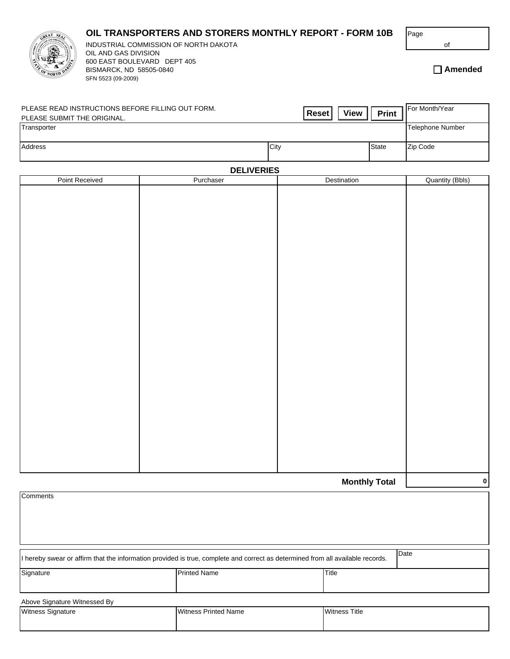## **OIL TRANSPORTERS AND STORERS MONTHLY REPORT - FORM 10B**



BISMARCK, ND 58505-0840 SFN 5523 (09-2009) 600 EAST BOULEVARD DEPT 405 INDUSTRIAL COMMISSION OF NORTH DAKOTA OIL AND GAS DIVISION

**Amended**

of

| PLEASE READ INSTRUCTIONS BEFORE FILLING OUT FORM.<br>PLEASE SUBMIT THE ORIGINAL. | <b>View</b><br><b>Reset</b> | <b>Print</b> | For Month/Year   |
|----------------------------------------------------------------------------------|-----------------------------|--------------|------------------|
| Transporter                                                                      |                             |              | Telephone Number |
| Address                                                                          | City                        | <b>State</b> | Zip Code         |

## **DELIVERIES**

| Point Received | <b>DELIVERIES</b><br>Purchaser | Destination          | Quantity (Bbls) |
|----------------|--------------------------------|----------------------|-----------------|
|                |                                |                      |                 |
|                |                                |                      |                 |
|                |                                |                      |                 |
|                |                                |                      |                 |
|                |                                |                      |                 |
|                |                                |                      |                 |
|                |                                |                      |                 |
|                |                                |                      |                 |
|                |                                |                      |                 |
|                |                                |                      |                 |
|                |                                |                      |                 |
|                |                                |                      |                 |
|                |                                |                      |                 |
|                |                                |                      |                 |
|                |                                |                      |                 |
|                |                                |                      |                 |
|                |                                |                      |                 |
|                |                                |                      |                 |
|                |                                |                      |                 |
|                |                                |                      |                 |
|                |                                |                      |                 |
|                |                                |                      |                 |
|                |                                |                      |                 |
|                |                                |                      |                 |
|                |                                |                      |                 |
|                |                                | <b>Monthly Total</b> | $\mathbf{0}$    |
|                |                                |                      |                 |

| Comments                     |                                                                                                                                |                      |  |  |
|------------------------------|--------------------------------------------------------------------------------------------------------------------------------|----------------------|--|--|
|                              |                                                                                                                                |                      |  |  |
|                              |                                                                                                                                |                      |  |  |
|                              |                                                                                                                                |                      |  |  |
|                              | I hereby swear or affirm that the information provided is true, complete and correct as determined from all available records. | Date                 |  |  |
| Signature                    | <b>Printed Name</b>                                                                                                            | Title                |  |  |
|                              |                                                                                                                                |                      |  |  |
| Above Signature Witnessed By |                                                                                                                                |                      |  |  |
| Witness Signature            | <b>Witness Printed Name</b>                                                                                                    | <b>Witness Title</b> |  |  |